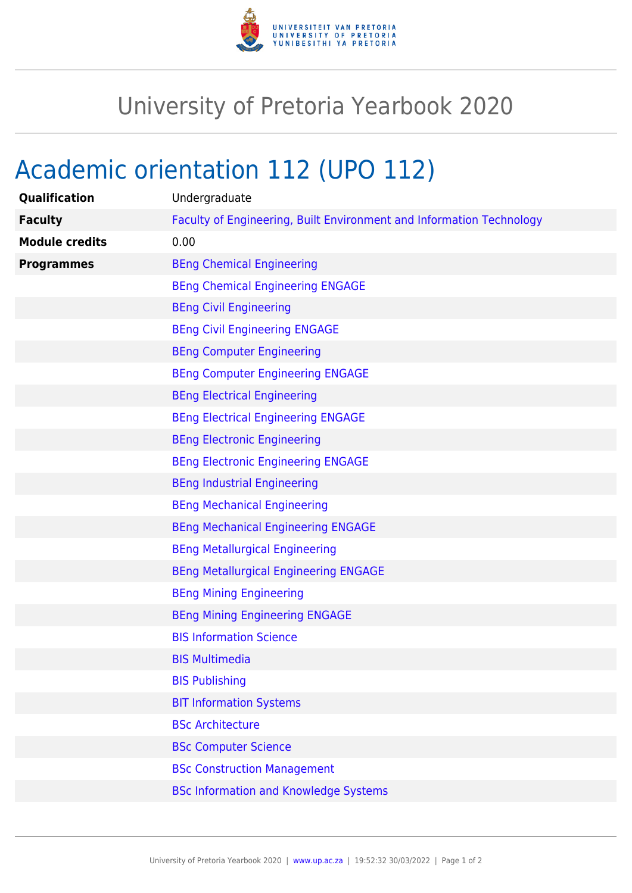

## University of Pretoria Yearbook 2020

## Academic orientation 112 (UPO 112)

| Qualification         | Undergraduate                                                        |
|-----------------------|----------------------------------------------------------------------|
| <b>Faculty</b>        | Faculty of Engineering, Built Environment and Information Technology |
| <b>Module credits</b> | 0.00                                                                 |
| <b>Programmes</b>     | <b>BEng Chemical Engineering</b>                                     |
|                       | <b>BEng Chemical Engineering ENGAGE</b>                              |
|                       | <b>BEng Civil Engineering</b>                                        |
|                       | <b>BEng Civil Engineering ENGAGE</b>                                 |
|                       | <b>BEng Computer Engineering</b>                                     |
|                       | <b>BEng Computer Engineering ENGAGE</b>                              |
|                       | <b>BEng Electrical Engineering</b>                                   |
|                       | <b>BEng Electrical Engineering ENGAGE</b>                            |
|                       | <b>BEng Electronic Engineering</b>                                   |
|                       | <b>BEng Electronic Engineering ENGAGE</b>                            |
|                       | <b>BEng Industrial Engineering</b>                                   |
|                       | <b>BEng Mechanical Engineering</b>                                   |
|                       | <b>BEng Mechanical Engineering ENGAGE</b>                            |
|                       | <b>BEng Metallurgical Engineering</b>                                |
|                       | <b>BEng Metallurgical Engineering ENGAGE</b>                         |
|                       | <b>BEng Mining Engineering</b>                                       |
|                       | <b>BEng Mining Engineering ENGAGE</b>                                |
|                       | <b>BIS Information Science</b>                                       |
|                       | <b>BIS Multimedia</b>                                                |
|                       | <b>BIS Publishing</b>                                                |
|                       | <b>BIT Information Systems</b>                                       |
|                       | <b>BSc Architecture</b>                                              |
|                       | <b>BSc Computer Science</b>                                          |
|                       | <b>BSc Construction Management</b>                                   |
|                       | <b>BSc Information and Knowledge Systems</b>                         |
|                       |                                                                      |